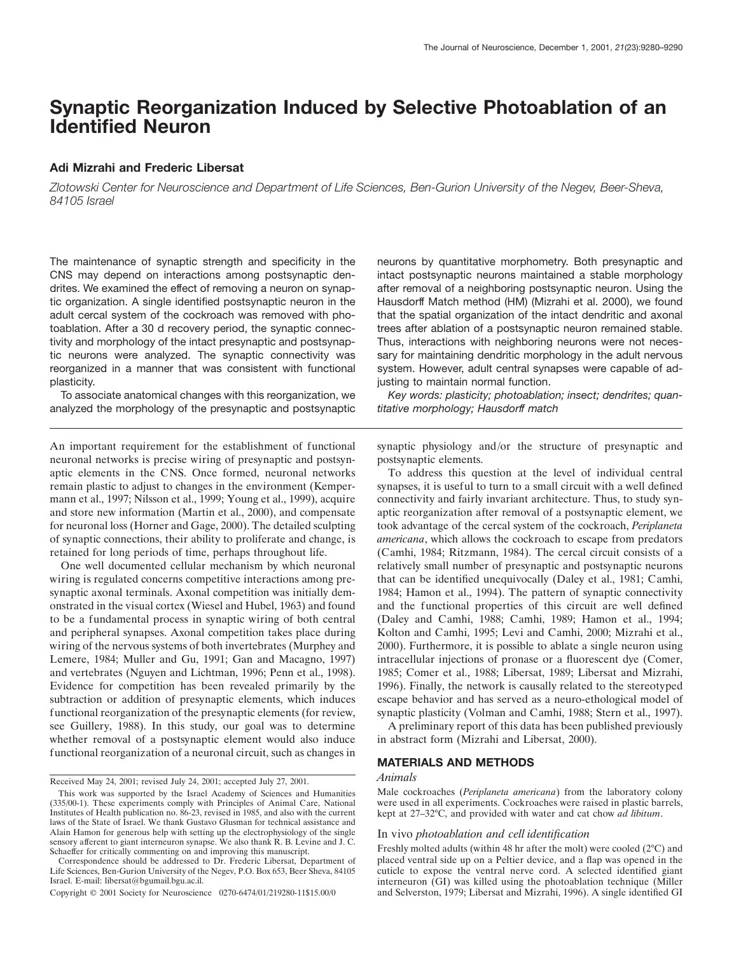# **Synaptic Reorganization Induced by Selective Photoablation of an Identified Neuron**

# **Adi Mizrahi and Frederic Libersat**

*Zlotowski Center for Neuroscience and Department of Life Sciences, Ben-Gurion University of the Negev, Beer-Sheva, 84105 Israel*

The maintenance of synaptic strength and specificity in the CNS may depend on interactions among postsynaptic dendrites. We examined the effect of removing a neuron on synaptic organization. A single identified postsynaptic neuron in the adult cercal system of the cockroach was removed with photoablation. After a 30 d recovery period, the synaptic connectivity and morphology of the intact presynaptic and postsynaptic neurons were analyzed. The synaptic connectivity was reorganized in a manner that was consistent with functional plasticity.

To associate anatomical changes with this reorganization, we analyzed the morphology of the presynaptic and postsynaptic

An important requirement for the establishment of functional neuronal networks is precise wiring of presynaptic and postsynaptic elements in the CNS. Once formed, neuronal networks remain plastic to adjust to changes in the environment (Kempermann et al., 1997; Nilsson et al., 1999; Young et al., 1999), acquire and store new information (Martin et al., 2000), and compensate for neuronal loss (Horner and Gage, 2000). The detailed sculpting of synaptic connections, their ability to proliferate and change, is retained for long periods of time, perhaps throughout life.

One well documented cellular mechanism by which neuronal wiring is regulated concerns competitive interactions among presynaptic axonal terminals. Axonal competition was initially demonstrated in the visual cortex (Wiesel and Hubel, 1963) and found to be a fundamental process in synaptic wiring of both central and peripheral synapses. Axonal competition takes place during wiring of the nervous systems of both invertebrates (Murphey and Lemere, 1984; Muller and Gu, 1991; Gan and Macagno, 1997) and vertebrates (Nguyen and Lichtman, 1996; Penn et al., 1998). Evidence for competition has been revealed primarily by the subtraction or addition of presynaptic elements, which induces functional reorganization of the presynaptic elements (for review, see Guillery, 1988). In this study, our goal was to determine whether removal of a postsynaptic element would also induce functional reorganization of a neuronal circuit, such as changes in neurons by quantitative morphometry. Both presynaptic and intact postsynaptic neurons maintained a stable morphology after removal of a neighboring postsynaptic neuron. Using the Hausdorff Match method (HM) (Mizrahi et al. 2000), we found that the spatial organization of the intact dendritic and axonal trees after ablation of a postsynaptic neuron remained stable. Thus, interactions with neighboring neurons were not necessary for maintaining dendritic morphology in the adult nervous system. However, adult central synapses were capable of adjusting to maintain normal function.

*Key words: plasticity; photoablation; insect; dendrites; quantitative morphology; Hausdorff match*

synaptic physiology and/or the structure of presynaptic and postsynaptic elements.

To address this question at the level of individual central synapses, it is useful to turn to a small circuit with a well defined connectivity and fairly invariant architecture. Thus, to study synaptic reorganization after removal of a postsynaptic element, we took advantage of the cercal system of the cockroach, *Periplaneta americana*, which allows the cockroach to escape from predators (Camhi, 1984; Ritzmann, 1984). The cercal circuit consists of a relatively small number of presynaptic and postsynaptic neurons that can be identified unequivocally (Daley et al., 1981; Camhi, 1984; Hamon et al., 1994). The pattern of synaptic connectivity and the functional properties of this circuit are well defined (Daley and Camhi, 1988; Camhi, 1989; Hamon et al., 1994; Kolton and Camhi, 1995; Levi and Camhi, 2000; Mizrahi et al., 2000). Furthermore, it is possible to ablate a single neuron using intracellular injections of pronase or a fluorescent dye (Comer, 1985; Comer et al., 1988; Libersat, 1989; Libersat and Mizrahi, 1996). Finally, the network is causally related to the stereotyped escape behavior and has served as a neuro-ethological model of synaptic plasticity (Volman and Camhi, 1988; Stern et al., 1997).

A preliminary report of this data has been published previously in abstract form (Mizrahi and Libersat, 2000).

## **MATERIALS AND METHODS**

#### *Animals*

Male cockroaches (*Periplaneta americana*) from the laboratory colony were used in all experiments. Cockroaches were raised in plastic barrels, kept at 27–32°C, and provided with water and cat chow *ad libitum*.

#### In vivo *photoablation and cell identification*

Freshly molted adults (within 48 hr after the molt) were cooled (2°C) and placed ventral side up on a Peltier device, and a flap was opened in the cuticle to expose the ventral nerve cord. A selected identified giant interneuron (GI) was killed using the photoablation technique (Miller and Selverston, 1979; Libersat and Mizrahi, 1996). A single identified GI

Received May 24, 2001; revised July 24, 2001; accepted July 27, 2001.

This work was supported by the Israel Academy of Sciences and Humanities (335/00-1). These experiments comply with Principles of Animal Care, National Institutes of Health publication no. 86-23, revised in 1985, and also with the current laws of the State of Israel. We thank Gustavo Glusman for technical assistance and Alain Hamon for generous help with setting up the electrophysiology of the single sensory afferent to giant interneuron synapse. We also thank R. B. Levine and J. C. Schaeffer for critically commenting on and improving this manuscript.

Correspondence should be addressed to Dr. Frederic Libersat, Department of Life Sciences, Ben-Gurion University of the Negev, P.O. Box 653, Beer Sheva, 84105 Israel. E-mail: libersat@bgumail.bgu.ac.il.

Copyright © 2001 Society for Neuroscience 0270-6474/01/219280-11\$15.00/0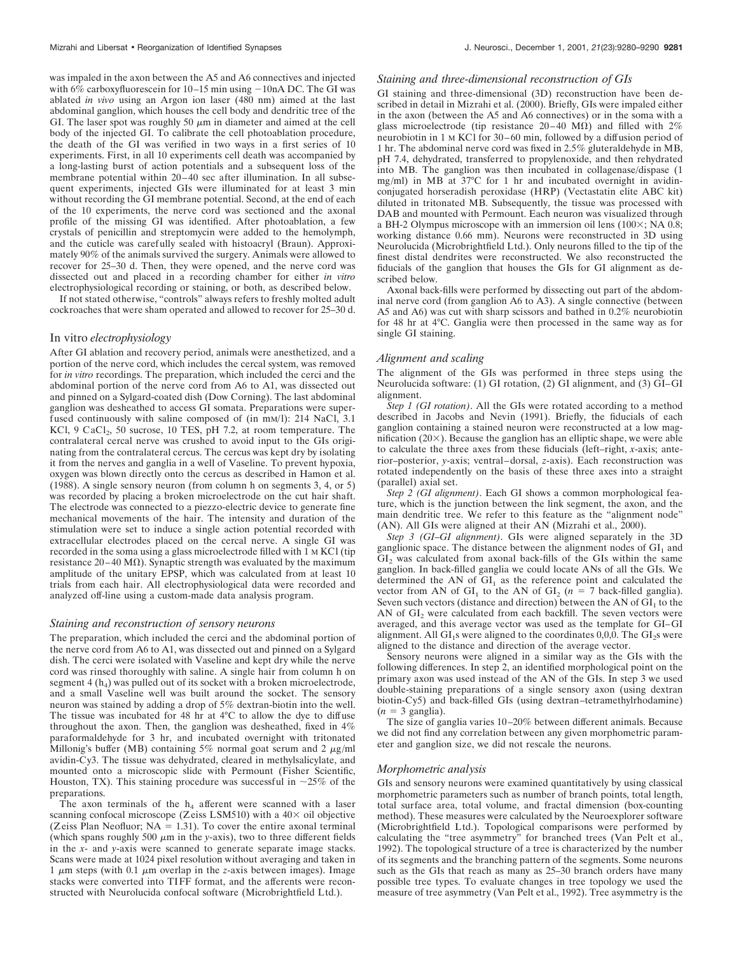was impaled in the axon between the A5 and A6 connectives and injected with  $6\%$  carboxyfluorescein for 10–15 min using  $-10nA$  DC. The GI was ablated *in vivo* using an Argon ion laser (480 nm) aimed at the last abdominal ganglion, which houses the cell body and dendritic tree of the GI. The laser spot was roughly 50  $\mu$ m in diameter and aimed at the cell body of the injected GI. To calibrate the cell photoablation procedure, the death of the GI was verified in two ways in a first series of 10 experiments. First, in all 10 experiments cell death was accompanied by a long-lasting burst of action potentials and a subsequent loss of the membrane potential within 20–40 sec after illumination. In all subsequent experiments, injected GIs were illuminated for at least 3 min without recording the GI membrane potential. Second, at the end of each of the 10 experiments, the nerve cord was sectioned and the axonal profile of the missing GI was identified. After photoablation, a few crystals of penicillin and streptomycin were added to the hemolymph, and the cuticle was carefully sealed with histoacryl (Braun). Approximately 90% of the animals survived the surgery. Animals were allowed to recover for 25–30 d. Then, they were opened, and the nerve cord was dissected out and placed in a recording chamber for either *in vitro* electrophysiological recording or staining, or both, as described below.

If not stated otherwise, "controls" always refers to freshly molted adult cockroaches that were sham operated and allowed to recover for 25–30 d.

#### In vitro *electrophysiology*

After GI ablation and recovery period, animals were anesthetized, and a portion of the nerve cord, which includes the cercal system, was removed for *in vitro* recordings. The preparation, which included the cerci and the abdominal portion of the nerve cord from A6 to A1, was dissected out and pinned on a Sylgard-coated dish (Dow Corning). The last abdominal ganglion was desheathed to access GI somata. Preparations were superfused continuously with saline composed of (in mM/l): 214 NaCl, 3.1 KCl, 9 CaCl<sub>2</sub>, 50 sucrose, 10 TES, pH 7.2, at room temperature. The contralateral cercal nerve was crushed to avoid input to the GIs originating from the contralateral cercus. The cercus was kept dry by isolating it from the nerves and ganglia in a well of Vaseline. To prevent hypoxia, oxygen was blown directly onto the cercus as described in Hamon et al. (1988). A single sensory neuron (from column h on segments 3, 4, or 5) was recorded by placing a broken microelectrode on the cut hair shaft. The electrode was connected to a piezzo-electric device to generate fine mechanical movements of the hair. The intensity and duration of the stimulation were set to induce a single action potential recorded with extracellular electrodes placed on the cercal nerve. A single GI was recorded in the soma using a glass microelectrode filled with 1 M KCl (tip resistance  $20-40 \text{ M}\Omega$ ). Synaptic strength was evaluated by the maximum amplitude of the unitary EPSP, which was calculated from at least 10 trials from each hair. All electrophysiological data were recorded and analyzed off-line using a custom-made data analysis program.

#### *Staining and reconstruction of sensory neurons*

The preparation, which included the cerci and the abdominal portion of the nerve cord from A6 to A1, was dissected out and pinned on a Sylgard dish. The cerci were isolated with Vaseline and kept dry while the nerve cord was rinsed thoroughly with saline. A single hair from column h on segment 4  $(h_4)$  was pulled out of its socket with a broken microelectrode, and a small Vaseline well was built around the socket. The sensory neuron was stained by adding a drop of 5% dextran-biotin into the well. The tissue was incubated for 48 hr at 4°C to allow the dye to diffuse throughout the axon. Then, the ganglion was desheathed, fixed in 4% paraformaldehyde for 3 hr, and incubated overnight with tritonated Millonig's buffer (MB) containing 5% normal goat serum and 2  $\mu$ g/ml avidin-Cy3. The tissue was dehydrated, cleared in methylsalicylate, and mounted onto a microscopic slide with Permount (Fisher Scientific, Houston, TX). This staining procedure was successful in  $\sim$ 25% of the preparations.

The axon terminals of the  $h_4$  afferent were scanned with a laser scanning confocal microscope (Zeiss LSM510) with a  $40\times$  oil objective (Zeiss Plan Neofluor;  $NA = 1.31$ ). To cover the entire axonal terminal (which spans roughly 500  $\mu$ m in the *y*-axis), two to three different fields in the *x*- and *y*-axis were scanned to generate separate image stacks. Scans were made at 1024 pixel resolution without averaging and taken in 1  $\mu$ m steps (with 0.1  $\mu$ m overlap in the *z*-axis between images). Image stacks were converted into TIFF format, and the afferents were reconstructed with Neurolucida confocal software (Microbrightfield Ltd.).

## *Staining and three-dimensional reconstruction of GIs*

GI staining and three-dimensional (3D) reconstruction have been described in detail in Mizrahi et al. (2000). Briefly, GIs were impaled either in the axon (between the A5 and A6 connectives) or in the soma with a glass microelectrode (tip resistance 20–40 M $\Omega$ ) and filled with 2% neurobiotin in 1 M KCl for 30–60 min, followed by a diffusion period of 1 hr. The abdominal nerve cord was fixed in 2.5% gluteraldehyde in MB, pH 7.4, dehydrated, transferred to propylenoxide, and then rehydrated into MB. The ganglion was then incubated in collagenase/dispase (1 mg/ml) in MB at 37°C for 1 hr and incubated overnight in avidinconjugated horseradish peroxidase (HRP) (Vectastatin elite ABC kit) diluted in tritonated MB. Subsequently, the tissue was processed with DAB and mounted with Permount. Each neuron was visualized through a BH-2 Olympus microscope with an immersion oil lens  $(100 \times; NA 0.8;$ working distance 0.66 mm). Neurons were reconstructed in 3D using Neurolucida (Microbrightfield Ltd.). Only neurons filled to the tip of the finest distal dendrites were reconstructed. We also reconstructed the fiducials of the ganglion that houses the GIs for GI alignment as described below.

Axonal back-fills were performed by dissecting out part of the abdominal nerve cord (from ganglion A6 to A3). A single connective (between A5 and A6) was cut with sharp scissors and bathed in 0.2% neurobiotin for 48 hr at 4°C. Ganglia were then processed in the same way as for single GI staining.

#### *Alignment and scaling*

The alignment of the GIs was performed in three steps using the Neurolucida software: (1) GI rotation, (2) GI alignment, and (3) GI–GI alignment.

*Step 1 (GI rotation)*. All the GIs were rotated according to a method described in Jacobs and Nevin (1991). Briefly, the fiducials of each ganglion containing a stained neuron were reconstructed at a low magnification  $(20\times)$ . Because the ganglion has an elliptic shape, we were able to calculate the three axes from these fiducials (left–right, *x*-axis; anterior–posterior, *y*-axis; ventral–dorsal, *z*-axis). Each reconstruction was rotated independently on the basis of these three axes into a straight (parallel) axial set.

*Step 2 (GI alignment)*. Each GI shows a common morphological feature, which is the junction between the link segment, the axon, and the main dendritic tree. We refer to this feature as the "alignment node" (AN). All GIs were aligned at their AN (Mizrahi et al., 2000).

*Step 3 (GI*–*GI alignment)*. GIs were aligned separately in the 3D ganglionic space. The distance between the alignment nodes of  $GI<sub>1</sub>$  and GI<sub>2</sub> was calculated from axonal back-fills of the GIs within the same ganglion. In back-filled ganglia we could locate ANs of all the GIs. We determined the AN of  $\widetilde{GI_1}$  as the reference point and calculated the vector from AN of GI<sub>1</sub> to the AN of GI<sub>2</sub> ( $n = 7$  back-filled ganglia). Seven such vectors (distance and direction) between the AN of  $GI<sub>1</sub>$  to the AN of GI<sub>2</sub> were calculated from each backfill. The seven vectors were averaged, and this average vector was used as the template for GI–GI alignment. All  $GI_1s$  were aligned to the coordinates 0,0,0. The  $GI_2s$  were aligned to the distance and direction of the average vector.

Sensory neurons were aligned in a similar way as the GIs with the following differences. In step 2, an identified morphological point on the primary axon was used instead of the AN of the GIs. In step 3 we used double-staining preparations of a single sensory axon (using dextran biotin-Cy5) and back-filled GIs (using dextran–tetramethylrhodamine)  $(n = 3$  ganglia).

The size of ganglia varies 10–20% between different animals. Because we did not find any correlation between any given morphometric parameter and ganglion size, we did not rescale the neurons.

#### *Morphometric analysis*

GIs and sensory neurons were examined quantitatively by using classical morphometric parameters such as number of branch points, total length, total surface area, total volume, and fractal dimension (box-counting method). These measures were calculated by the Neuroexplorer software (Microbrightfield Ltd.). Topological comparisons were performed by calculating the "tree asymmetry" for branched trees (Van Pelt et al., 1992). The topological structure of a tree is characterized by the number of its segments and the branching pattern of the segments. Some neurons such as the GIs that reach as many as 25–30 branch orders have many possible tree types. To evaluate changes in tree topology we used the measure of tree asymmetry (Van Pelt et al., 1992). Tree asymmetry is the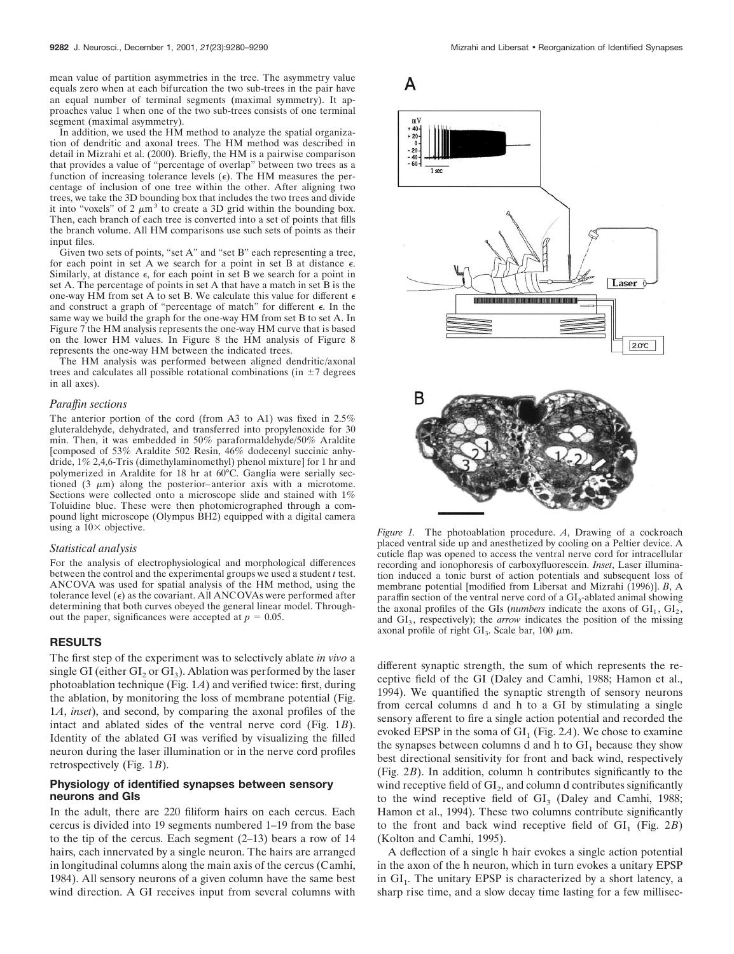mean value of partition asymmetries in the tree. The asymmetry value equals zero when at each bifurcation the two sub-trees in the pair have an equal number of terminal segments (maximal symmetry). It approaches value 1 when one of the two sub-trees consists of one terminal segment (maximal asymmetry).

In addition, we used the HM method to analyze the spatial organization of dendritic and axonal trees. The HM method was described in detail in Mizrahi et al. (2000). Briefly, the HM is a pairwise comparison that provides a value of "percentage of overlap" between two trees as a function of increasing tolerance levels  $(\epsilon)$ . The HM measures the percentage of inclusion of one tree within the other. After aligning two trees, we take the 3D bounding box that includes the two trees and divide it into "voxels" of 2  $\mu$ m<sup>3</sup> to create a 3D grid within the bounding box. Then, each branch of each tree is converted into a set of points that fills the branch volume. All HM comparisons use such sets of points as their input files.

Given two sets of points, "set A" and "set B" each representing a tree, for each point in set A we search for a point in set B at distance  $\epsilon$ . Similarly, at distance  $\epsilon$ , for each point in set B we search for a point in set A. The percentage of points in set A that have a match in set B is the one-way HM from set A to set B. We calculate this value for different  $\epsilon$ and construct a graph of "percentage of match" for different  $\epsilon$ . In the same way we build the graph for the one-way HM from set B to set A. In Figure 7 the HM analysis represents the one-way HM curve that is based on the lower HM values. In Figure 8 the HM analysis of Figure 8 represents the one-way HM between the indicated trees.

The HM analysis was performed between aligned dendritic/axonal trees and calculates all possible rotational combinations (in  $\pm$ 7 degrees in all axes).

#### *Paraffin sections*

The anterior portion of the cord (from A3 to A1) was fixed in 2.5% gluteraldehyde, dehydrated, and transferred into propylenoxide for 30 min. Then, it was embedded in 50% paraformaldehyde/50% Araldite [composed of 53% Araldite 502 Resin, 46% dodecenyl succinic anhydride, 1% 2,4,6-Tris (dimethylaminomethyl) phenol mixture] for 1 hr and polymerized in Araldite for 18 hr at 60°C. Ganglia were serially sectioned  $(3 \mu m)$  along the posterior–anterior axis with a microtome. Sections were collected onto a microscope slide and stained with  $1\%$ Toluidine blue. These were then photomicrographed through a compound light microscope (Olympus BH2) equipped with a digital camera using a  $10 \times$  objective.

#### *Statistical analysis*

For the analysis of electrophysiological and morphological differences between the control and the experimental groups we used a student *t* test. ANCOVA was used for spatial analysis of the HM method, using the tolerance level  $(\epsilon)$  as the covariant. All ANCOVAs were performed after determining that both curves obeyed the general linear model. Throughout the paper, significances were accepted at  $p = 0.05$ .

## **RESULTS**

The first step of the experiment was to selectively ablate *in vivo* a single GI (either  $GI<sub>2</sub>$  or  $GI<sub>3</sub>$ ). Ablation was performed by the laser photoablation technique (Fig. 1*A*) and verified twice: first, during the ablation, by monitoring the loss of membrane potential (Fig. 1*A*, *inset*), and second, by comparing the axonal profiles of the intact and ablated sides of the ventral nerve cord (Fig. 1*B*). Identity of the ablated GI was verified by visualizing the filled neuron during the laser illumination or in the nerve cord profiles retrospectively (Fig. 1*B*).

## **Physiology of identified synapses between sensory neurons and GIs**

In the adult, there are 220 filiform hairs on each cercus. Each cercus is divided into 19 segments numbered 1–19 from the base to the tip of the cercus. Each segment (2–13) bears a row of 14 hairs, each innervated by a single neuron. The hairs are arranged in longitudinal columns along the main axis of the cercus (Camhi, 1984). All sensory neurons of a given column have the same best wind direction. A GI receives input from several columns with



*Figure 1.* The photoablation procedure. *A*, Drawing of a cockroach placed ventral side up and anesthetized by cooling on a Peltier device. A cuticle flap was opened to access the ventral nerve cord for intracellular recording and ionophoresis of carboxyfluorescein. *Inset*, Laser illumination induced a tonic burst of action potentials and subsequent loss of membrane potential [modified from Libersat and Mizrahi (1996)]. *B*, A paraffin section of the ventral nerve cord of a  $GI<sub>3</sub>$ -ablated animal showing the axonal profiles of the GIs (*numbers* indicate the axons of  $GI_1$ ,  $GI_2$ , and  $GI<sub>3</sub>$ , respectively); the *arrow* indicates the position of the missing axonal profile of right  $GI_3$ . Scale bar, 100  $\mu$ m.

different synaptic strength, the sum of which represents the receptive field of the GI (Daley and Camhi, 1988; Hamon et al., 1994). We quantified the synaptic strength of sensory neurons from cercal columns d and h to a GI by stimulating a single sensory afferent to fire a single action potential and recorded the evoked EPSP in the soma of  $GI_1$  (Fig. 2A). We chose to examine the synapses between columns d and h to  $GI<sub>1</sub>$  because they show best directional sensitivity for front and back wind, respectively (Fig. 2*B*). In addition, column h contributes significantly to the wind receptive field of  $GI<sub>2</sub>$ , and column d contributes significantly to the wind receptive field of  $GI<sub>3</sub>$  (Daley and Camhi, 1988; Hamon et al., 1994). These two columns contribute significantly to the front and back wind receptive field of  $GI_1$  (Fig. 2*B*) (Kolton and Camhi, 1995).

A deflection of a single h hair evokes a single action potential in the axon of the h neuron, which in turn evokes a unitary EPSP in  $GI<sub>1</sub>$ . The unitary EPSP is characterized by a short latency, a sharp rise time, and a slow decay time lasting for a few millisec-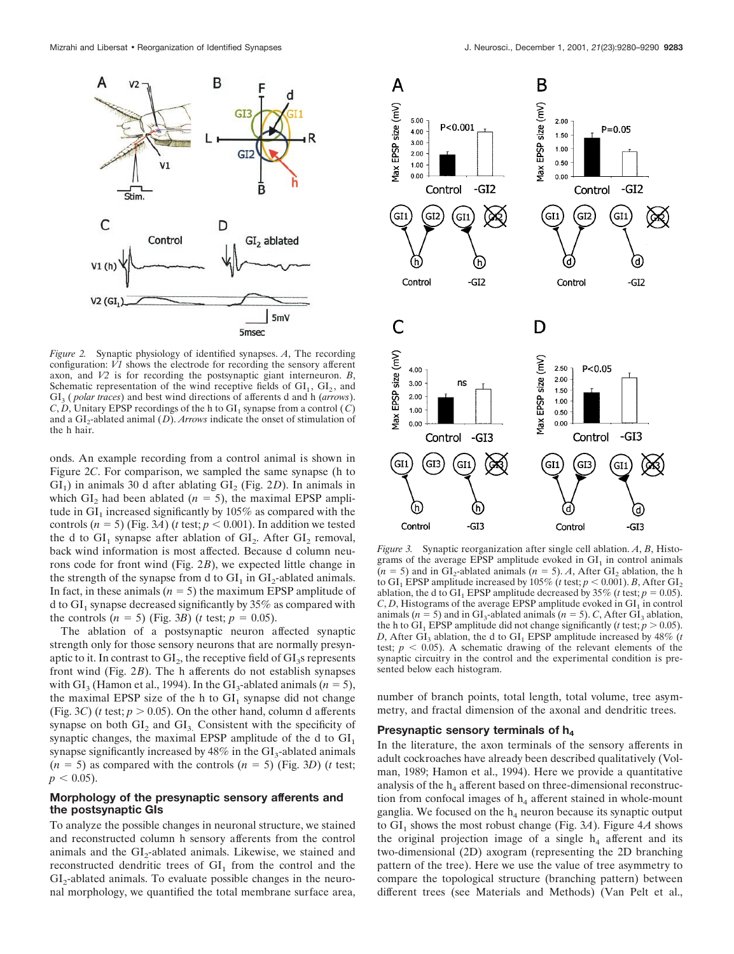

*Figure 2.* Synaptic physiology of identified synapses. *A*, The recording configuration: *V1* shows the electrode for recording the sensory afferent axon, and *V2* is for recording the postsynaptic giant interneuron. *B*, Schematic representation of the wind receptive fields of  $GI_1$ ,  $GI_2$ , and GI<sub>3</sub> (*polar traces*) and best wind directions of afferents d and h (*arrows*). *C*, *D*, Unitary EPSP recordings of the h to  $GI_1$  synapse from a control  $(C)$ and a  $GI_2$ -ablated animal (*D*). *Arrows* indicate the onset of stimulation of the h hair.

onds. An example recording from a control animal is shown in Figure 2*C*. For comparison, we sampled the same synapse (h to  $GI<sub>1</sub>$ ) in animals 30 d after ablating  $GI<sub>2</sub>$  (Fig. 2*D*). In animals in which GI<sub>2</sub> had been ablated ( $n = 5$ ), the maximal EPSP amplitude in  $GI_1$  increased significantly by 105% as compared with the controls  $(n = 5)$  (Fig. 3*A*) (*t* test;  $p < 0.001$ ). In addition we tested the d to  $GI_1$  synapse after ablation of  $GI_2$ . After  $GI_2$  removal, back wind information is most affected. Because d column neurons code for front wind (Fig. 2*B*), we expected little change in the strength of the synapse from d to  $GI_1$  in  $GI_2$ -ablated animals. In fact, in these animals  $(n = 5)$  the maximum EPSP amplitude of d to  $GI_1$  synapse decreased significantly by 35% as compared with the controls  $(n = 5)$  (Fig. 3*B*) (*t* test;  $p = 0.05$ ).

The ablation of a postsynaptic neuron affected synaptic strength only for those sensory neurons that are normally presynaptic to it. In contrast to  $GI_2$ , the receptive field of  $GI_3$ s represents front wind (Fig. 2*B*). The h afferents do not establish synapses with  $GI_3$  (Hamon et al., 1994). In the  $GI_3$ -ablated animals ( $n = 5$ ), the maximal EPSP size of the h to  $GI_1$  synapse did not change (Fig. 3*C*) (*t* test;  $p > 0.05$ ). On the other hand, column d afferents synapse on both  $GI<sub>2</sub>$  and  $GI<sub>3</sub>$ . Consistent with the specificity of synaptic changes, the maximal EPSP amplitude of the d to  $GI<sub>1</sub>$ synapse significantly increased by  $48\%$  in the GI<sub>3</sub>-ablated animals  $(n = 5)$  as compared with the controls  $(n = 5)$  (Fig. 3*D*) (*t* test;  $p < 0.05$ ).

# **Morphology of the presynaptic sensory afferents and the postsynaptic GIs**

To analyze the possible changes in neuronal structure, we stained and reconstructed column h sensory afferents from the control animals and the  $GI_2$ -ablated animals. Likewise, we stained and reconstructed dendritic trees of  $GI_1$  from the control and the  $GI<sub>2</sub>$ -ablated animals. To evaluate possible changes in the neuronal morphology, we quantified the total membrane surface area,



*Figure 3.* Synaptic reorganization after single cell ablation. *A*, *B*, Histograms of the average EPSP amplitude evoked in  $GI_1$  in control animals  $(n = 5)$  and in GI<sub>2</sub>-ablated animals  $(n = 5)$ . *A*, After GI<sub>2</sub> ablation, the h to GI<sub>1</sub> EPSP amplitude increased by  $105\%$  (*t* test;  $p < 0.001$ ). *B*, After GI<sub>2</sub> ablation, the d to GI<sub>1</sub> EPSP amplitude decreased by 35% (*t* test;  $p = 0.05$ ).  $C, D$ , Histograms of the average EPSP amplitude evoked in  $GI<sub>1</sub>$  in control animals ( $n = 5$ ) and in GI<sub>3</sub>-ablated animals ( $n = 5$ ). *C*, After GI<sub>3</sub> ablation, the h to  $GI_1$  EPSP amplitude did not change significantly (*t* test;  $p > 0.05$ ). *D*, After GI<sub>3</sub> ablation, the d to GI<sub>1</sub> EPSP amplitude increased by  $48\%$  (*t* test;  $p < 0.05$ ). A schematic drawing of the relevant elements of the synaptic circuitry in the control and the experimental condition is presented below each histogram.

number of branch points, total length, total volume, tree asymmetry, and fractal dimension of the axonal and dendritic trees.

## Presynaptic sensory terminals of h<sub>4</sub>

In the literature, the axon terminals of the sensory afferents in adult cockroaches have already been described qualitatively (Volman, 1989; Hamon et al., 1994). Here we provide a quantitative analysis of the  $h_4$  afferent based on three-dimensional reconstruction from confocal images of  $h_4$  afferent stained in whole-mount ganglia. We focused on the  $h_4$  neuron because its synaptic output to  $GI_1$  shows the most robust change (Fig. 3A). Figure  $4A$  shows the original projection image of a single  $h_4$  afferent and its two-dimensional (2D) axogram (representing the 2D branching pattern of the tree). Here we use the value of tree asymmetry to compare the topological structure (branching pattern) between different trees (see Materials and Methods) (Van Pelt et al.,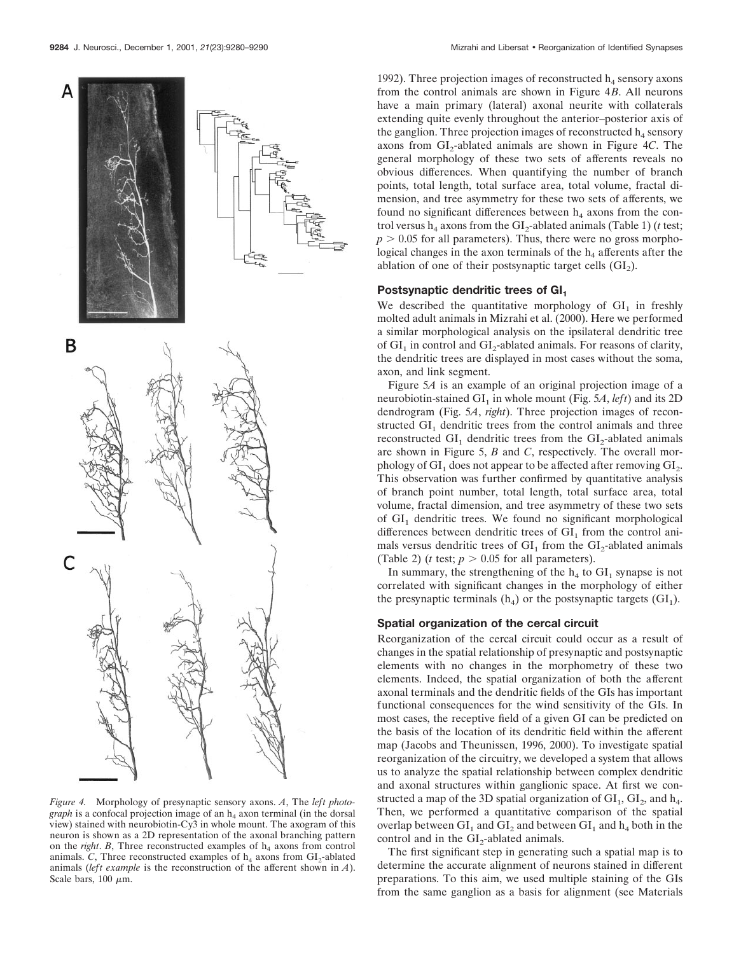

*Figure 4.* Morphology of presynaptic sensory axons. *A*, The *left photo* $graph$  is a confocal projection image of an  $h<sub>4</sub>$  axon terminal (in the dorsal view) stained with neurobiotin-Cy3 in whole mount. The axogram of this neuron is shown as a 2D representation of the axonal branching pattern on the *right*. *B*, Three reconstructed examples of  $h_4$  axons from control animals. *C*, Three reconstructed examples of  $h_4$  axons from  $GI_2$ -ablated animals (*left example* is the reconstruction of the afferent shown in *A*). Scale bars,  $100 \mu m$ .

1992). Three projection images of reconstructed  $h_4$  sensory axons from the control animals are shown in Figure 4*B*. All neurons have a main primary (lateral) axonal neurite with collaterals extending quite evenly throughout the anterior–posterior axis of the ganglion. Three projection images of reconstructed  $h_4$  sensory axons from GI<sub>2</sub>-ablated animals are shown in Figure 4*C*. The general morphology of these two sets of afferents reveals no obvious differences. When quantifying the number of branch points, total length, total surface area, total volume, fractal dimension, and tree asymmetry for these two sets of afferents, we found no significant differences between  $h_4$  axons from the control versus  $h_4$  axons from the GI<sub>2</sub>-ablated animals (Table 1) (*t* test;  $p > 0.05$  for all parameters). Thus, there were no gross morphological changes in the axon terminals of the  $h_4$  afferents after the ablation of one of their postsynaptic target cells  $(GI<sub>2</sub>)$ .

## Postsynaptic dendritic trees of GI<sub>1</sub>

We described the quantitative morphology of  $GI<sub>1</sub>$  in freshly molted adult animals in Mizrahi et al. (2000). Here we performed a similar morphological analysis on the ipsilateral dendritic tree of  $GI<sub>1</sub>$  in control and  $GI<sub>2</sub>$ -ablated animals. For reasons of clarity, the dendritic trees are displayed in most cases without the soma, axon, and link segment.

Figure 5*A* is an example of an original projection image of a neurobiotin-stained  $GI_1$  in whole mount (Fig. 5A, *left*) and its 2D dendrogram (Fig. 5*A*, *right*). Three projection images of reconstructed  $GI_1$  dendritic trees from the control animals and three reconstructed  $GI_1$  dendritic trees from the  $GI_2$ -ablated animals are shown in Figure 5, *B* and *C*, respectively. The overall morphology of  $GI_1$  does not appear to be affected after removing  $GI_2$ . This observation was further confirmed by quantitative analysis of branch point number, total length, total surface area, total volume, fractal dimension, and tree asymmetry of these two sets of  $GI_1$  dendritic trees. We found no significant morphological differences between dendritic trees of  $GI<sub>1</sub>$  from the control animals versus dendritic trees of  $GI_1$  from the  $GI_2$ -ablated animals (Table 2) (*t* test;  $p > 0.05$  for all parameters).

In summary, the strengthening of the  $h_4$  to  $GI_1$  synapse is not correlated with significant changes in the morphology of either the presynaptic terminals  $(h_4)$  or the postsynaptic targets  $(GI_1)$ .

# **Spatial organization of the cercal circuit**

Reorganization of the cercal circuit could occur as a result of changes in the spatial relationship of presynaptic and postsynaptic elements with no changes in the morphometry of these two elements. Indeed, the spatial organization of both the afferent axonal terminals and the dendritic fields of the GIs has important functional consequences for the wind sensitivity of the GIs. In most cases, the receptive field of a given GI can be predicted on the basis of the location of its dendritic field within the afferent map (Jacobs and Theunissen, 1996, 2000). To investigate spatial reorganization of the circuitry, we developed a system that allows us to analyze the spatial relationship between complex dendritic and axonal structures within ganglionic space. At first we constructed a map of the 3D spatial organization of  $GI_1$ ,  $GI_2$ , and  $h_4$ . Then, we performed a quantitative comparison of the spatial overlap between  $GI_1$  and  $GI_2$  and between  $GI_1$  and  $h_4$  both in the control and in the  $GI_2$ -ablated animals.

The first significant step in generating such a spatial map is to determine the accurate alignment of neurons stained in different preparations. To this aim, we used multiple staining of the GIs from the same ganglion as a basis for alignment (see Materials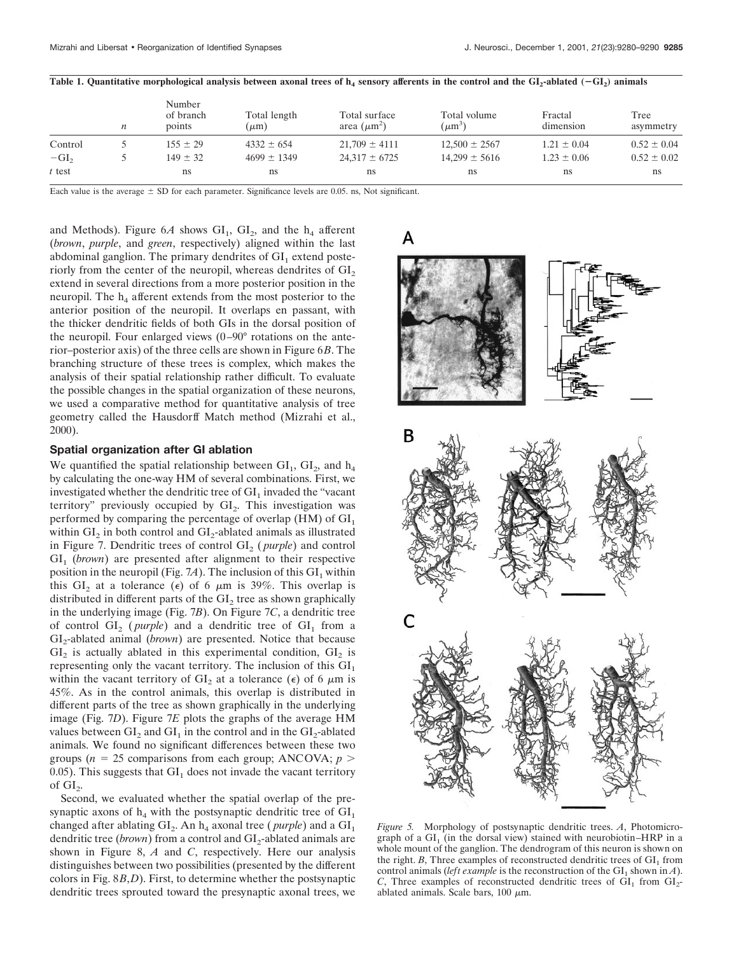|          | $\boldsymbol{n}$ | Number<br>of branch<br>points | Total length<br>$(\mu m)$ | Total surface<br>area $(\mu m^2)$ | Total volume<br>$(\mu m^3)$ | Fractal<br>dimension | Tree<br>asymmetry |
|----------|------------------|-------------------------------|---------------------------|-----------------------------------|-----------------------------|----------------------|-------------------|
| Control  |                  | $155 \pm 29$                  | $4332 \pm 654$            | $21.709 \pm 4111$                 | $12.500 \pm 2567$           | $1.21 \pm 0.04$      | $0.52 \pm 0.04$   |
| $-GI2$   |                  | $149 \pm 32$                  | $4699 \pm 1349$           | $24.317 \pm 6725$                 | $14.299 \pm 5616$           | $1.23 \pm 0.06$      | $0.52 \pm 0.02$   |
| $t$ test |                  | ns                            | ns                        | ns                                | ns                          | ns                   | ns                |

|  |  |  | Table 1. Quantitative morphological analysis between axonal trees of $h_4$ sensory afferents in the control and the $GI_2$ -ablated ( $-GI_2$ ) animals |  |  |  |  |  |  |  |
|--|--|--|---------------------------------------------------------------------------------------------------------------------------------------------------------|--|--|--|--|--|--|--|
|--|--|--|---------------------------------------------------------------------------------------------------------------------------------------------------------|--|--|--|--|--|--|--|

Each value is the average  $\pm$  SD for each parameter. Significance levels are 0.05. ns, Not significant.

and Methods). Figure  $6A$  shows  $GI_1$ ,  $GI_2$ , and the  $h_4$  afferent (*brown*, *purple*, and *green*, respectively) aligned within the last abdominal ganglion. The primary dendrites of  $GI<sub>1</sub>$  extend posteriorly from the center of the neuropil, whereas dendrites of  $GI<sub>2</sub>$ extend in several directions from a more posterior position in the neuropil. The  $h_4$  afferent extends from the most posterior to the anterior position of the neuropil. It overlaps en passant, with the thicker dendritic fields of both GIs in the dorsal position of the neuropil. Four enlarged views (0–90° rotations on the anterior–posterior axis) of the three cells are shown in Figure 6*B*. The branching structure of these trees is complex, which makes the analysis of their spatial relationship rather difficult. To evaluate the possible changes in the spatial organization of these neurons, we used a comparative method for quantitative analysis of tree geometry called the Hausdorff Match method (Mizrahi et al., 2000).

# **Spatial organization after GI ablation**

We quantified the spatial relationship between  $GI_1$ ,  $GI_2$ , and  $h_4$ by calculating the one-way HM of several combinations. First, we investigated whether the dendritic tree of  $GI<sub>1</sub>$  invaded the "vacant" territory" previously occupied by GI<sub>2</sub>. This investigation was performed by comparing the percentage of overlap (HM) of  $GI<sub>1</sub>$ within  $GI_2$  in both control and  $GI_2$ -ablated animals as illustrated in Figure 7. Dendritic trees of control GI<sub>2</sub> (*purple*) and control  $GI_1$  (*brown*) are presented after alignment to their respective position in the neuropil (Fig.  $7A$ ). The inclusion of this  $GI_1$  within this  $GI_2$  at a tolerance ( $\epsilon$ ) of 6  $\mu$ m is 39%. This overlap is distributed in different parts of the  $GI<sub>2</sub>$  tree as shown graphically in the underlying image (Fig. 7*B*). On Figure 7*C*, a dendritic tree of control  $GI_2$  (*purple*) and a dendritic tree of  $GI_1$  from a GI<sub>2</sub>-ablated animal *(brown)* are presented. Notice that because  $GI<sub>2</sub>$  is actually ablated in this experimental condition,  $GI<sub>2</sub>$  is representing only the vacant territory. The inclusion of this  $GI<sub>1</sub>$ within the vacant territory of  $GI_2$  at a tolerance ( $\epsilon$ ) of 6  $\mu$ m is 45%. As in the control animals, this overlap is distributed in different parts of the tree as shown graphically in the underlying image (Fig. 7*D*). Figure 7*E* plots the graphs of the average HM values between  $GI_2$  and  $GI_1$  in the control and in the  $GI_2$ -ablated animals. We found no significant differences between these two groups ( $n = 25$  comparisons from each group; ANCOVA;  $p >$ 0.05). This suggests that  $GI_1$  does not invade the vacant territory of  $GI<sub>2</sub>$ .

Second, we evaluated whether the spatial overlap of the presynaptic axons of  $h_4$  with the postsynaptic dendritic tree of  $GI_1$ changed after ablating  $GI_2$ . An  $h_4$  axonal tree (*purple*) and a  $GI_1$ dendritic tree (*brown*) from a control and GI<sub>2</sub>-ablated animals are shown in Figure 8, *A* and *C*, respectively. Here our analysis distinguishes between two possibilities (presented by the different colors in Fig. 8*B*,*D*). First, to determine whether the postsynaptic dendritic trees sprouted toward the presynaptic axonal trees, we



*Figure 5.* Morphology of postsynaptic dendritic trees. *A*, Photomicrograph of a  $GI_1$  (in the dorsal view) stained with neurobiotin–HRP in a whole mount of the ganglion. The dendrogram of this neuron is shown on the right.  $B$ , Three examples of reconstructed dendritic trees of  $GI<sub>1</sub>$  from control animals (*left example* is the reconstruction of the  $GI_1$  shown in *A*). *C*, Three examples of reconstructed dendritic trees of  $GI_1$  from  $GI_2$ ablated animals. Scale bars,  $100 \mu m$ .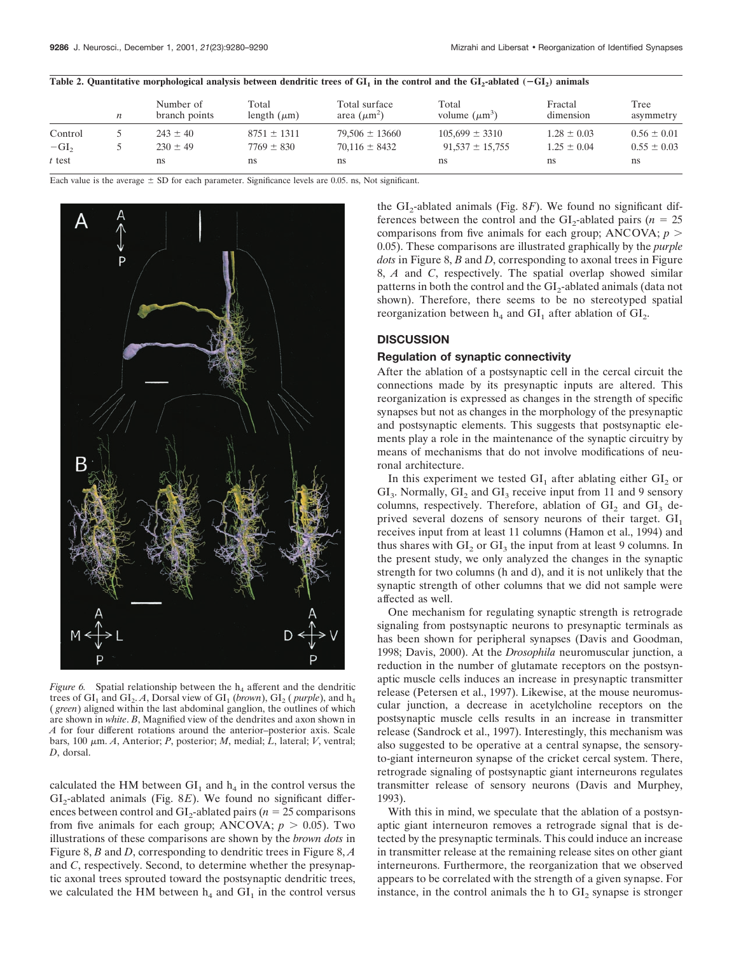|         | n | Number of<br>branch points | Total<br>length $(\mu m)$ | Total surface<br>area $(\mu m^2)$ | Total<br>volume $(\mu m^3)$ | Fractal<br>dimension | Tree<br>asymmetry |  |  |  |
|---------|---|----------------------------|---------------------------|-----------------------------------|-----------------------------|----------------------|-------------------|--|--|--|
| Control |   | $243 \pm 40$               | $8751 \pm 1311$           | $79.506 \pm 13660$                | $105,699 \pm 3310$          | $1.28 \pm 0.03$      | $0.56 \pm 0.01$   |  |  |  |
| $-GI_2$ |   | $230 \pm 49$               | $7769 \pm 830$            | $70.116 \pm 8432$                 | $91,537 \pm 15,755$         | $1.25 \pm 0.04$      | $0.55 \pm 0.03$   |  |  |  |
| t test  |   | ns                         | ns                        | ns                                | ns                          | ns                   | ns                |  |  |  |

|  |  |  | Table 2. Quantitative morphological analysis between dendritic trees of $GI_1$ in the control and the $GI_2$ -ablated $(-GI_2)$ animals |  |  |  |  |  |  |  |  |
|--|--|--|-----------------------------------------------------------------------------------------------------------------------------------------|--|--|--|--|--|--|--|--|
|--|--|--|-----------------------------------------------------------------------------------------------------------------------------------------|--|--|--|--|--|--|--|--|

Each value is the average  $\pm$  SD for each parameter. Significance levels are 0.05. ns, Not significant.



*Figure 6.* Spatial relationship between the  $h_4$  afferent and the dendritic trees of  $GI_1$  and  $GI_2$ . *A*, Dorsal view of  $GI_1$  (*brown*),  $GI_2$  ( *purple*), and  $h_4$ ( *green*) aligned within the last abdominal ganglion, the outlines of which are shown in *white*. *B*, Magnified view of the dendrites and axon shown in *A* for four different rotations around the anterior–posterior axis. Scale bars, 100 m. *A*, Anterior; *P*, posterior; *M*, medial; *L*, lateral; *V*, ventral; *D*, dorsal.

calculated the HM between  $GI_1$  and  $h_4$  in the control versus the GI2-ablated animals (Fig. 8*E*). We found no significant differences between control and  $GI_2$ -ablated pairs ( $n = 25$  comparisons from five animals for each group; ANCOVA;  $p > 0.05$ ). Two illustrations of these comparisons are shown by the *brown dots* in Figure 8, *B* and *D*, corresponding to dendritic trees in Figure 8, *A* and *C*, respectively. Second, to determine whether the presynaptic axonal trees sprouted toward the postsynaptic dendritic trees, we calculated the HM between  $h_4$  and  $GI_1$  in the control versus the  $GI_2$ -ablated animals (Fig.  $8F$ ). We found no significant differences between the control and the GI<sub>2</sub>-ablated pairs ( $n = 25$ ) comparisons from five animals for each group; ANCOVA; *p* 0.05). These comparisons are illustrated graphically by the *purple dots* in Figure 8, *B* and *D*, corresponding to axonal trees in Figure 8, *A* and *C*, respectively. The spatial overlap showed similar patterns in both the control and the  $GI<sub>2</sub>$ -ablated animals (data not shown). Therefore, there seems to be no stereotyped spatial reorganization between  $h_4$  and  $GI_1$  after ablation of  $GI_2$ .

# **DISCUSSION**

# **Regulation of synaptic connectivity**

After the ablation of a postsynaptic cell in the cercal circuit the connections made by its presynaptic inputs are altered. This reorganization is expressed as changes in the strength of specific synapses but not as changes in the morphology of the presynaptic and postsynaptic elements. This suggests that postsynaptic elements play a role in the maintenance of the synaptic circuitry by means of mechanisms that do not involve modifications of neuronal architecture.

In this experiment we tested  $GI_1$  after ablating either  $GI_2$  or  $GI<sub>3</sub>$ . Normally,  $GI<sub>2</sub>$  and  $GI<sub>3</sub>$  receive input from 11 and 9 sensory columns, respectively. Therefore, ablation of  $GI<sub>2</sub>$  and  $GI<sub>3</sub>$  deprived several dozens of sensory neurons of their target.  $GI<sub>1</sub>$ receives input from at least 11 columns (Hamon et al., 1994) and thus shares with  $GI_2$  or  $GI_3$  the input from at least 9 columns. In the present study, we only analyzed the changes in the synaptic strength for two columns (h and d), and it is not unlikely that the synaptic strength of other columns that we did not sample were affected as well.

One mechanism for regulating synaptic strength is retrograde signaling from postsynaptic neurons to presynaptic terminals as has been shown for peripheral synapses (Davis and Goodman, 1998; Davis, 2000). At the *Drosophila* neuromuscular junction, a reduction in the number of glutamate receptors on the postsynaptic muscle cells induces an increase in presynaptic transmitter release (Petersen et al., 1997). Likewise, at the mouse neuromuscular junction, a decrease in acetylcholine receptors on the postsynaptic muscle cells results in an increase in transmitter release (Sandrock et al., 1997). Interestingly, this mechanism was also suggested to be operative at a central synapse, the sensoryto-giant interneuron synapse of the cricket cercal system. There, retrograde signaling of postsynaptic giant interneurons regulates transmitter release of sensory neurons (Davis and Murphey, 1993).

With this in mind, we speculate that the ablation of a postsynaptic giant interneuron removes a retrograde signal that is detected by the presynaptic terminals. This could induce an increase in transmitter release at the remaining release sites on other giant interneurons. Furthermore, the reorganization that we observed appears to be correlated with the strength of a given synapse. For instance, in the control animals the h to  $GI<sub>2</sub>$  synapse is stronger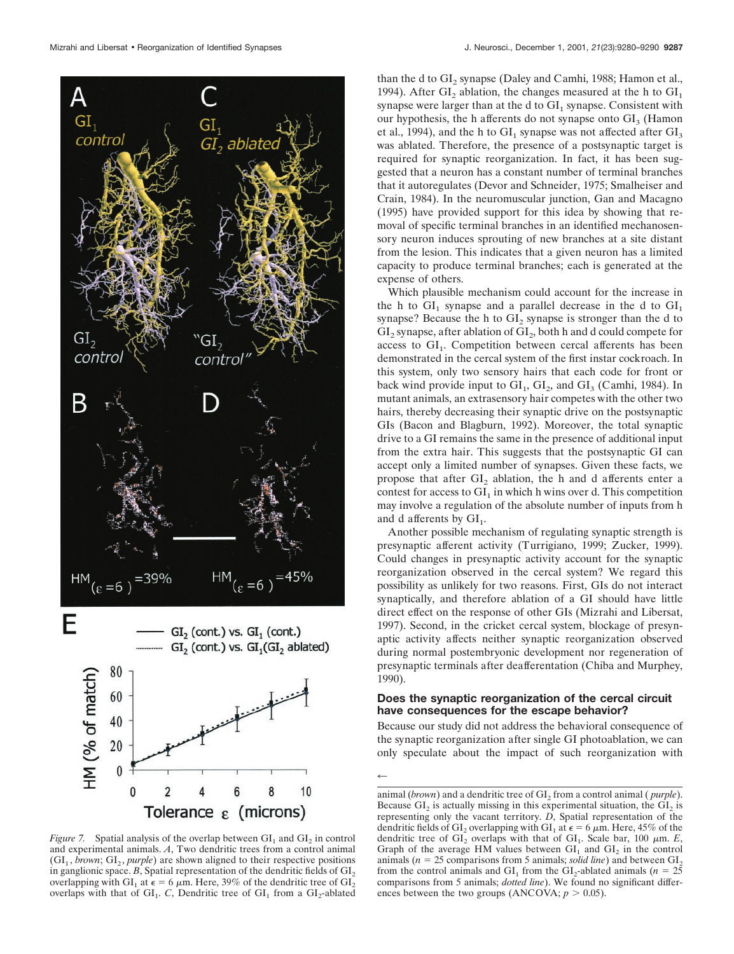

*Figure 7.* Spatial analysis of the overlap between  $GI_1$  and  $GI_2$  in control and experimental animals. *A*, Two dendritic trees from a control animal  $(GI<sub>1</sub>, brown; GI<sub>2</sub>, purple)$  are shown aligned to their respective positions in ganglionic space.  $B$ , Spatial representation of the dendritic fields of  $GI<sub>2</sub>$ overlapping with GI<sub>1</sub> at  $\epsilon = 6 \mu$ m. Here, 39% of the dendritic tree of GI<sub>2</sub> overlaps with that of  $GI_1$ . *C*, Dendritic tree of  $GI_1$  from a  $GI_2$ -ablated

than the d to GI<sub>2</sub> synapse (Daley and Camhi, 1988; Hamon et al., 1994). After GI<sub>2</sub> ablation, the changes measured at the h to  $GI<sub>1</sub>$ synapse were larger than at the d to  $GI_1$  synapse. Consistent with our hypothesis, the h afferents do not synapse onto  $GI<sub>3</sub>$  (Hamon et al., 1994), and the h to  $GI_1$  synapse was not affected after  $GI_3$ was ablated. Therefore, the presence of a postsynaptic target is required for synaptic reorganization. In fact, it has been suggested that a neuron has a constant number of terminal branches that it autoregulates (Devor and Schneider, 1975; Smalheiser and Crain, 1984). In the neuromuscular junction, Gan and Macagno (1995) have provided support for this idea by showing that removal of specific terminal branches in an identified mechanosensory neuron induces sprouting of new branches at a site distant from the lesion. This indicates that a given neuron has a limited capacity to produce terminal branches; each is generated at the expense of others.

Which plausible mechanism could account for the increase in the h to  $GI_1$  synapse and a parallel decrease in the d to  $GI_1$ synapse? Because the h to GI<sub>2</sub> synapse is stronger than the d to GI<sub>2</sub> synapse, after ablation of GI<sub>2</sub>, both h and d could compete for access to  $GI<sub>1</sub>$ . Competition between cercal afferents has been demonstrated in the cercal system of the first instar cockroach. In this system, only two sensory hairs that each code for front or back wind provide input to  $GI_1$ ,  $GI_2$ , and  $GI_3$  (Camhi, 1984). In mutant animals, an extrasensory hair competes with the other two hairs, thereby decreasing their synaptic drive on the postsynaptic GIs (Bacon and Blagburn, 1992). Moreover, the total synaptic drive to a GI remains the same in the presence of additional input from the extra hair. This suggests that the postsynaptic GI can accept only a limited number of synapses. Given these facts, we propose that after  $GI_2$  ablation, the h and d afferents enter a contest for access to  $GI_1$  in which h wins over d. This competition may involve a regulation of the absolute number of inputs from h and d afferents by  $GI<sub>1</sub>$ .

Another possible mechanism of regulating synaptic strength is presynaptic afferent activity (Turrigiano, 1999; Zucker, 1999). Could changes in presynaptic activity account for the synaptic reorganization observed in the cercal system? We regard this possibility as unlikely for two reasons. First, GIs do not interact synaptically, and therefore ablation of a GI should have little direct effect on the response of other GIs (Mizrahi and Libersat, 1997). Second, in the cricket cercal system, blockage of presynaptic activity affects neither synaptic reorganization observed during normal postembryonic development nor regeneration of presynaptic terminals after deafferentation (Chiba and Murphey, 1990).

# **Does the synaptic reorganization of the cercal circuit have consequences for the escape behavior?**

Because our study did not address the behavioral consequence of the synaptic reorganization after single GI photoablation, we can only speculate about the impact of such reorganization with

 $\leftarrow$ 

animal (*brown*) and a dendritic tree of GI<sub>2</sub> from a control animal (*purple*). Because  $GI<sub>2</sub>$  is actually missing in this experimental situation, the  $GI<sub>2</sub>$  is representing only the vacant territory. *D*, Spatial representation of the dendritic fields of GI<sub>2</sub> overlapping with GI<sub>1</sub> at  $\epsilon = 6 \mu$ m. Here, 45% of the dendritic tree of  $GI_2$  overlaps with that of  $GI_1$ . Scale bar, 100  $\mu$ m. *E*, Graph of the average HM values between  $GI_1$  and  $GI_2$  in the control animals ( $n = 25$  comparisons from 5 animals; *solid line*) and between  $GI<sub>2</sub>$ from the control animals and GI<sub>1</sub> from the GI<sub>2</sub>-ablated animals ( $n = 25$ ) comparisons from 5 animals; *dotted line*). We found no significant differences between the two groups (ANCOVA;  $p > 0.05$ ).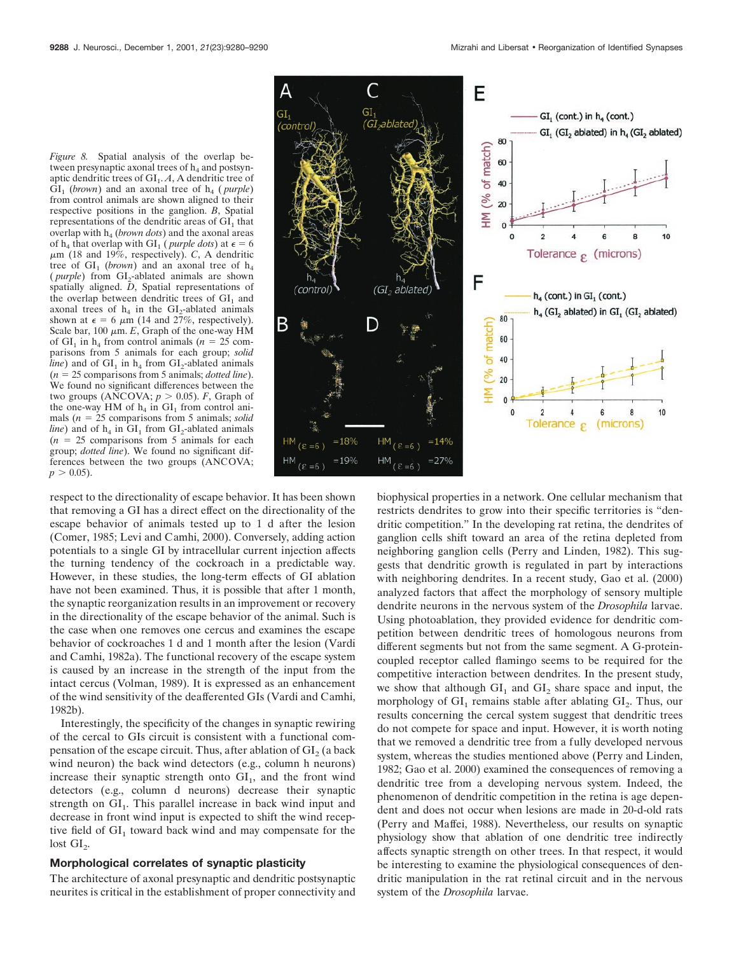$GI<sub>1</sub>$  (cont.) in  $h<sub>4</sub>$  (cont.)

Tolerance  $\epsilon$  (microns)

h<sub>4</sub> (cont.) in GI, (cont.)

h<sub>4</sub> (GI<sub>2</sub> ablated) in GI<sub>1</sub> (GI<sub>2</sub> ablated)

Ŕ

Tolerance  $\epsilon$  (microns)

Ŕ

 $10$ 

GI, (GI, ablated) in h<sub>4</sub> (GI, ablated)

 $10<sup>10</sup>$ 

E

80

 $\overline{2}$ 

 $(96 \text{ of match})$ 60  $40$  $\overline{20}$ MH  $\sqrt{2}$  $\mathbf{0}$ 

F

80

 $\mathbf{a}$ 

 $\overline{2}$ 

match<sup></sup> 60

ð 40  $(9)0$  $20$ ¥

ahlate

(GI<sub>2</sub> ablated)

D

 $=18%$ 

 $=19%$ 

 $\sqrt{a}$ 

(control)

B

*Figure 8.* Spatial analysis of the overlap between presynaptic axonal trees of  $h_4$  and postsynaptic dendritic trees of GI<sub>1</sub>. *A*, A dendritic tree of  $GI_1$  (*brown*) and an axonal tree of  $h_4$  (*purple*) from control animals are shown aligned to their respective positions in the ganglion. *B*, Spatial representations of the dendritic areas of  $GI<sub>1</sub>$  that overlap with h4 (*brown dots*) and the axonal areas of  $h_4$  that overlap with GI<sub>1</sub> (*purple dots*) at  $\epsilon = 6$  $\mu$ m (18 and 19%, respectively). *C*, A dendritic tree of  $GI_1$  (*brown*) and an axonal tree of  $h_4$ (*purple*) from GI<sub>2</sub>-ablated animals are shown spatially aligned. *D*, Spatial representations of the overlap between dendritic trees of  $GI<sub>1</sub>$  and axonal trees of  $h_4$  in the GI<sub>2</sub>-ablated animals shown at  $\epsilon = 6 \mu m$  (14 and 27%, respectively). Scale bar, 100  $\mu$ m. *E*, Graph of the one-way HM of  $GI_1$  in  $h_4$  from control animals ( $n = 25$  comparisons from 5 animals for each group; *solid line*) and of  $GI_1$  in  $h_4$  from  $GI_2$ -ablated animals (*n* 25 comparisons from 5 animals; *dotted line*). We found no significant differences between the two groups (ANCOVA;  $p > 0.05$ ). *F*, Graph of the one-way HM of  $h_4$  in  $GI_1$  from control animals ( $n = 25$  comparisons from 5 animals; *solid line*) and of  $h_4$  in  $GI_1$  from  $GI_2$ -ablated animals  $(n = 25$  comparisons from 5 animals for each group; *dotted line*). We found no significant differences between the two groups (ANCOVA;  $p > 0.05$ ).

respect to the directionality of escape behavior. It has been shown that removing a GI has a direct effect on the directionality of the escape behavior of animals tested up to 1 d after the lesion (Comer, 1985; Levi and Camhi, 2000). Conversely, adding action potentials to a single GI by intracellular current injection affects the turning tendency of the cockroach in a predictable way. However, in these studies, the long-term effects of GI ablation have not been examined. Thus, it is possible that after 1 month, the synaptic reorganization results in an improvement or recovery in the directionality of the escape behavior of the animal. Such is the case when one removes one cercus and examines the escape behavior of cockroaches 1 d and 1 month after the lesion (Vardi and Camhi, 1982a). The functional recovery of the escape system is caused by an increase in the strength of the input from the intact cercus (Volman, 1989). It is expressed as an enhancement of the wind sensitivity of the deafferented GIs (Vardi and Camhi, 1982b).

Interestingly, the specificity of the changes in synaptic rewiring of the cercal to GIs circuit is consistent with a functional compensation of the escape circuit. Thus, after ablation of  $GI<sub>2</sub>$  (a back wind neuron) the back wind detectors (e.g., column h neurons) increase their synaptic strength onto  $GI<sub>1</sub>$ , and the front wind detectors (e.g., column d neurons) decrease their synaptic strength on  $GI<sub>1</sub>$ . This parallel increase in back wind input and decrease in front wind input is expected to shift the wind receptive field of  $GI_1$  toward back wind and may compensate for the lost  $GI<sub>2</sub>$ .

#### **Morphological correlates of synaptic plasticity**

The architecture of axonal presynaptic and dendritic postsynaptic neurites is critical in the establishment of proper connectivity and

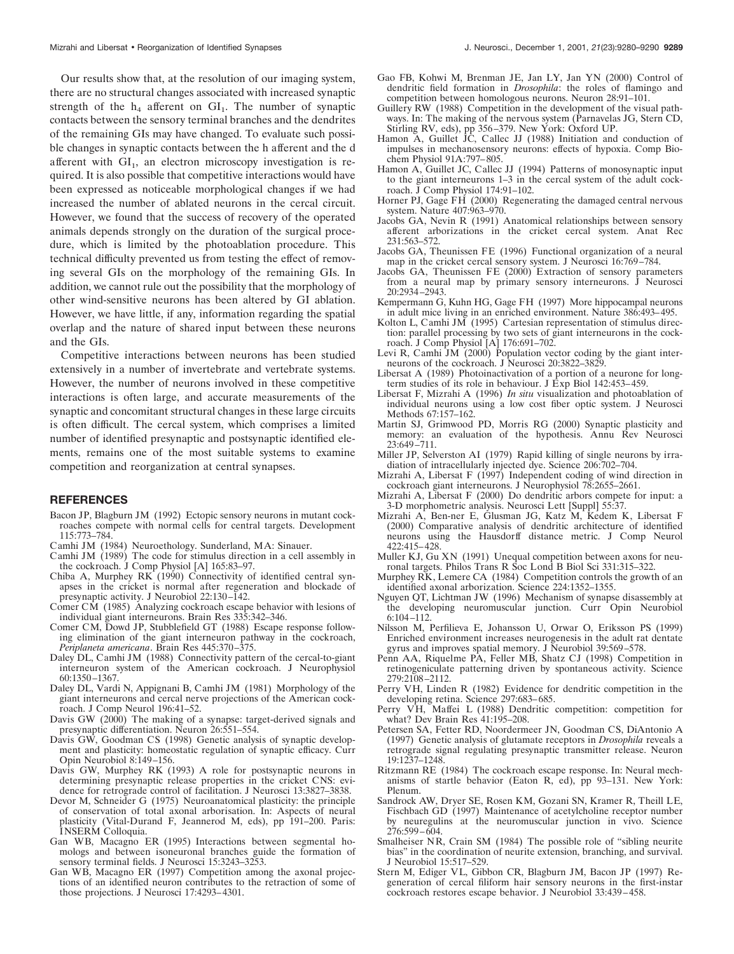Our results show that, at the resolution of our imaging system, there are no structural changes associated with increased synaptic strength of the  $h_4$  afferent on  $GI_1$ . The number of synaptic contacts between the sensory terminal branches and the dendrites of the remaining GIs may have changed. To evaluate such possible changes in synaptic contacts between the h afferent and the d afferent with  $GI_1$ , an electron microscopy investigation is required. It is also possible that competitive interactions would have been expressed as noticeable morphological changes if we had increased the number of ablated neurons in the cercal circuit. However, we found that the success of recovery of the operated animals depends strongly on the duration of the surgical procedure, which is limited by the photoablation procedure. This technical difficulty prevented us from testing the effect of removing several GIs on the morphology of the remaining GIs. In addition, we cannot rule out the possibility that the morphology of other wind-sensitive neurons has been altered by GI ablation. However, we have little, if any, information regarding the spatial overlap and the nature of shared input between these neurons and the GIs.

Competitive interactions between neurons has been studied extensively in a number of invertebrate and vertebrate systems. However, the number of neurons involved in these competitive interactions is often large, and accurate measurements of the synaptic and concomitant structural changes in these large circuits is often difficult. The cercal system, which comprises a limited number of identified presynaptic and postsynaptic identified elements, remains one of the most suitable systems to examine competition and reorganization at central synapses.

#### **REFERENCES**

- Bacon JP, Blagburn JM (1992) Ectopic sensory neurons in mutant cockroaches compete with normal cells for central targets. Development 115:773–784.
- Camhi JM (1984) Neuroethology. Sunderland, MA: Sinauer.
- Camhi JM (1989) The code for stimulus direction in a cell assembly in the cockroach. J Comp Physiol [A] 165:83–97.
- Chiba A, Murphey RK (1990) Connectivity of identified central synapses in the cricket is normal after regeneration and blockade of presynaptic activity. J Neurobiol 22:130–142.
- Comer CM (1985) Analyzing cockroach escape behavior with lesions of individual giant interneurons. Brain Res 335:342–346.
- Comer CM, Dowd JP, Stubblefield GT (1988) Escape response following elimination of the giant interneuron pathway in the cockroach, *Periplaneta americana*. Brain Res 445:370–375.
- Daley DL, Camhi JM (1988) Connectivity pattern of the cercal-to-giant interneuron system of the American cockroach. J Neurophysiol 60:1350–1367.
- Daley DL, Vardi N, Appignani B, Camhi JM (1981) Morphology of the giant interneurons and cercal nerve projections of the American cockroach. J Comp Neurol 196:41–52.
- Davis GW (2000) The making of a synapse: target-derived signals and presynaptic differentiation. Neuron 26:551–554.
- Davis GW, Goodman CS (1998) Genetic analysis of synaptic development and plasticity: homeostatic regulation of synaptic efficacy. Curr Opin Neurobiol 8:149–156.
- Davis GW, Murphey RK (1993) A role for postsynaptic neurons in determining presynaptic release properties in the cricket CNS: evidence for retrograde control of facilitation. J Neurosci 13:3827–3838.
- Devor M, Schneider G (1975) Neuroanatomical plasticity: the principle of conservation of total axonal arborisation. In: Aspects of neural plasticity (Vital-Durand F, Jeannerod M, eds), pp 191–200. Paris: INSERM Colloquia.
- Gan WB, Macagno ER (1995) Interactions between segmental homologs and between isoneuronal branches guide the formation of sensory terminal fields. J Neurosci 15:3243–3253.
- Gan WB, Macagno ER (1997) Competition among the axonal projections of an identified neuron contributes to the retraction of some of those projections. J Neurosci 17:4293–4301.
- Gao FB, Kohwi M, Brenman JE, Jan LY, Jan YN (2000) Control of dendritic field formation in *Drosophila*: the roles of flamingo and competition between homologous neurons. Neuron 28:91–101.
- Guillery RW (1988) Competition in the development of the visual pathways. In: The making of the nervous system (Parnavelas JG, Stern CD, Stirling RV, eds), pp 356–379. New York: Oxford UP.
- Hamon A, Guillet JC, Callec JJ (1988) Initiation and conduction of impulses in mechanosensory neurons: effects of hypoxia. Comp Biochem Physiol 91A:797–805.
- Hamon A, Guillet JC, Callec JJ (1994) Patterns of monosynaptic input to the giant interneurons 1–3 in the cercal system of the adult cockroach. J Comp Physiol 174:91–102.
- Horner PJ, Gage FH (2000) Regenerating the damaged central nervous system. Nature 407:963–970.
- Jacobs GA, Nevin R (1991) Anatomical relationships between sensory afferent arborizations in the cricket cercal system. Anat Rec 231:563–572.
- Jacobs GA, Theunissen FE (1996) Functional organization of a neural map in the cricket cercal sensory system. J Neurosci 16:769–784.
- Jacobs GA, Theunissen FE (2000) Extraction of sensory parameters from a neural map by primary sensory interneurons. J Neurosci 20:2934–2943.
- Kempermann G, Kuhn HG, Gage FH (1997) More hippocampal neurons in adult mice living in an enriched environment. Nature 386:493–495.
- Kolton L, Camhi JM (1995) Cartesian representation of stimulus direction: parallel processing by two sets of giant interneurons in the cockroach. J Comp Physiol [A] 176:691–702.
- Levi R, Camhi JM (2000) Population vector coding by the giant interneurons of the cockroach. J Neurosci 20:3822–3829.
- Libersat A (1989) Photoinactivation of a portion of a neurone for longterm studies of its role in behaviour. J Exp Biol 142:453–459.
- Libersat F, Mizrahi A (1996) *In situ* visualization and photoablation of individual neurons using a low cost fiber optic system. J Neurosci Methods 67:157–162.
- Martin SJ, Grimwood PD, Morris RG (2000) Synaptic plasticity and memory: an evaluation of the hypothesis. Annu Rev Neurosci 23:649–711.
- Miller JP, Selverston AI (1979) Rapid killing of single neurons by irradiation of intracellularly injected dye. Science 206:702–704.
- Mizrahi A, Libersat F (1997) Independent coding of wind direction in cockroach giant interneurons. J Neurophysiol 78:2655–2661.
- Mizrahi A, Libersat F (2000) Do dendritic arbors compete for input: a 3-D morphometric analysis. Neurosci Lett [Suppl] 55:37.
- Mizrahi A, Ben-ner E, Glusman JG, Katz M, Kedem K, Libersat F (2000) Comparative analysis of dendritic architecture of identified neurons using the Hausdorff distance metric. J Comp Neurol 422:415–428.
- Muller KJ, Gu XN (1991) Unequal competition between axons for neuronal targets. Philos Trans R Soc Lond B Biol Sci 331:315–322.
- Murphey RK, Lemere CA (1984) Competition controls the growth of an identified axonal arborization. Science 224:1352–1355.
- Nguyen QT, Lichtman JW (1996) Mechanism of synapse disassembly at the developing neuromuscular junction. Curr Opin Neurobiol 6:104–112.
- Nilsson M, Perfilieva E, Johansson U, Orwar O, Eriksson PS (1999) Enriched environment increases neurogenesis in the adult rat dentate gyrus and improves spatial memory. J Neurobiol 39:569–578.
- Penn AA, Riquelme PA, Feller MB, Shatz CJ (1998) Competition in retinogeniculate patterning driven by spontaneous activity. Science 279:2108–2112.
- Perry VH, Linden R (1982) Evidence for dendritic competition in the developing retina. Science 297:683–685.
- Perry VH, Maffei L (1988) Dendritic competition: competition for what? Dev Brain Res 41:195-208.
- Petersen SA, Fetter RD, Noordermeer JN, Goodman CS, DiAntonio A (1997) Genetic analysis of glutamate receptors in *Drosophila* reveals a retrograde signal regulating presynaptic transmitter release. Neuron 19:1237–1248.
- Ritzmann RE (1984) The cockroach escape response. In: Neural mechanisms of startle behavior (Eaton R, ed), pp 93–131. New York: Plenum.
- Sandrock AW, Dryer SE, Rosen KM, Gozani SN, Kramer R, Theill LE, Fischbach GD (1997) Maintenance of acetylcholine receptor number by neuregulins at the neuromuscular junction in vivo. Science 276:599–604.
- Smalheiser NR, Crain SM (1984) The possible role of "sibling neurite bias" in the coordination of neurite extension, branching, and survival. J Neurobiol 15:517–529.
- Stern M, Ediger VL, Gibbon CR, Blagburn JM, Bacon JP (1997) Regeneration of cercal filiform hair sensory neurons in the first-instar cockroach restores escape behavior. J Neurobiol 33:439–458.